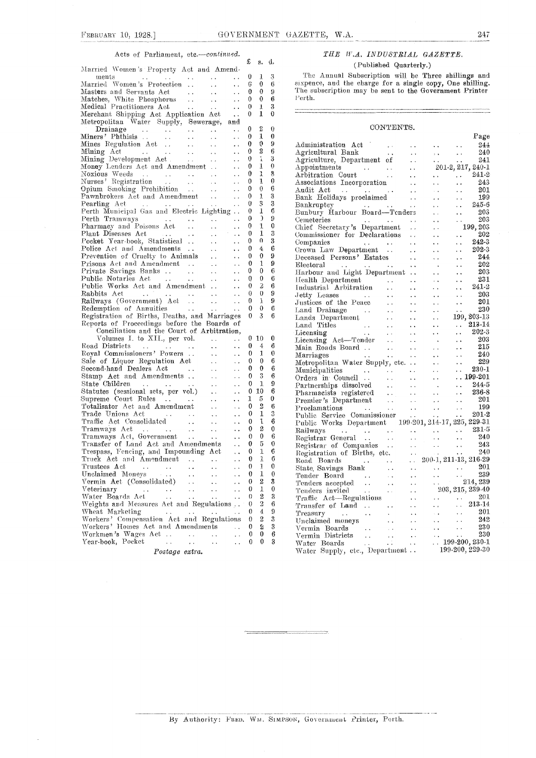$\bar{ }$ 

### Acts of Parliament, etc.-continued.

|                                                                                                                                          |                      | £ | s.             | ű. |  |
|------------------------------------------------------------------------------------------------------------------------------------------|----------------------|---|----------------|----|--|
| Married Women's Property Act and Amend-                                                                                                  |                      |   |                |    |  |
| ments<br>ments<br>Married Women's Protection<br>$\sim$                                                                                   |                      | 0 | 1              | 3  |  |
| $\sim$ $\sim$                                                                                                                            | ò.                   | 6 | 0              | 6  |  |
| Matches, White Phosphorus<br>Matches, White Phosphorus<br>Medical Practitioners Act<br>Merchant Shinning Act                             |                      | 0 | 0              | 9  |  |
|                                                                                                                                          | $\ddot{\phantom{a}}$ | 0 | 0              | 6  |  |
|                                                                                                                                          | $\ddot{\phantom{a}}$ | 0 | ı              | 3  |  |
| Merchant Shipping Act Application Act                                                                                                    | i.                   | 0 | 1              | 0  |  |
| Metropolitan Water Supply, Sewerage, and                                                                                                 |                      |   |                |    |  |
| $\mathbf{r}(\mathbf{x}) = \mathbf{r}(\mathbf{x}, \mathbf{x})$                                                                            | $\sim$ .             | 0 | Σ              | 0  |  |
| $\sim 10^{-11}$                                                                                                                          | $\ddot{\phantom{a}}$ | 0 | 1              | 0  |  |
| $\sim 100$                                                                                                                               | $\ddot{\phantom{a}}$ | 0 | 0              | 9  |  |
| Mining Act<br>Mining Development Act<br>$\mathcal{L}(\mathcal{L})$                                                                       | Ц,                   | 0 | 2              | 6  |  |
| $\mathbf{x}$ , $\mathbf{x}$ .                                                                                                            | $\ddot{\phantom{0}}$ | 0 | ı              | 3  |  |
| Money Lenders Act and Amendment                                                                                                          | $\ddot{\phantom{a}}$ | 0 | 1              | 0  |  |
| Noxious Weeds<br>Nurses' Registration<br>Opium Smoking Prohibition<br>Pawnbrokers Act and Amendment<br>Pawnbrokers Act and Amendment<br> | $\ddot{\phantom{0}}$ | 0 | 1              | 3  |  |
|                                                                                                                                          | $\ddot{\phantom{0}}$ | 0 | 1              | 0  |  |
|                                                                                                                                          | $\ddot{\phantom{0}}$ | 0 | 0              | 6  |  |
|                                                                                                                                          | $\ddot{\phantom{0}}$ | 0 | 1              | 3  |  |
|                                                                                                                                          |                      | 0 | 3              | 3  |  |
|                                                                                                                                          |                      | 0 | 1              | 6  |  |
| Perth Tramways                                                                                                                           | $\ddot{\phantom{0}}$ | 0 | $\mathfrak{I}$ | 9  |  |
| Pharmacy and Poisons Act<br>$\ddot{\phantom{a}}$                                                                                         | $\ddot{\phantom{0}}$ | 0 | 1              | 0  |  |
| $\sim 10^{-1}$                                                                                                                           | $\ddot{\phantom{0}}$ | 0 | 1              | 3  |  |
| Plant Diseases Act<br>Pocket Year-book, Statistical<br>$\ddot{\phantom{a}}$                                                              | μ.                   | 0 | o              | 3  |  |
| Police Act and Amendments<br>$\sim$ $\sim$                                                                                               |                      | 0 | 4              | 6  |  |
| Fonce Act and Amendments<br>Prevention of Cruelty to Animals                                                                             | . .                  | 0 | 0              | 9  |  |
| Prisons Act and Amendment                                                                                                                | ò.                   |   | 1              | 9  |  |
| $\sim 10^{-1}$                                                                                                                           | $\ddot{\phantom{0}}$ | 0 |                |    |  |
| Private Savings Banks<br>Public Notaries Act<br>$\sim 10^{-11}$                                                                          | Ω.                   | 0 | 0              | 6  |  |
| $\sim 10^{-1}$                                                                                                                           | $\ddot{\phantom{1}}$ | 0 | 0              | 6  |  |
| Public Works Act and Amendment                                                                                                           | $\ddot{\phantom{1}}$ | 0 | 2              | 6  |  |
| Rabbits Act<br><b>Contract Contract</b><br>$\mathbf{u}(\mathbf{x}) = \mathbf{u}(\mathbf{x}, \mathbf{x})$ .                               | П,                   | 0 | 0              | 9  |  |
| Railways (Government) Act<br>$\sim 10^{-1}$                                                                                              | $\ddot{\phantom{0}}$ | 0 | J.             | 9  |  |
| Redemption of Annuities<br>Registration of Dine<br>$\sim$ $\sim$                                                                         | $\ddot{\phantom{0}}$ | 0 | 0              | 6  |  |
| Registration of Births, Deaths, and Marriages                                                                                            |                      | 0 | 3              | 6  |  |
| Reports of Proceedings before the Boards of                                                                                              |                      |   |                |    |  |
| Conciliation and the Court of Arbitration,                                                                                               |                      |   |                |    |  |
| Volumes I. to XII., per vol.<br>$\sim 10$                                                                                                | $\ddot{\phantom{0}}$ | 0 | 10             | 0  |  |
| Road Districts<br>сś.                                                                                                                    | . .                  | 0 | 4              | 6  |  |
| Royal Commissioners' Powers<br>$\ddot{\phantom{a}}$                                                                                      | $\ddotsc$            | 0 | 1              | 0  |  |
| Sale of Liquor Regulation Act<br>$\ddotsc$                                                                                               | $\ddotsc$            | 0 | 0              | 6  |  |
| Second-hand Dealers Act<br>$\mathcal{L}(\mathcal{L})$                                                                                    | $\ddot{\phantom{1}}$ | 0 | 0              | 6  |  |
| Stamp Act and Amendments<br>$\ddotsc$                                                                                                    | Ϋ.                   | 0 | 3              | 6  |  |
| State Children<br>$\ddot{\phantom{0}}$                                                                                                   | $\ddot{\phantom{1}}$ | 0 | ı              | 9  |  |
| Statutes (sessional sets, per vol.)<br>$\ddot{\phantom{a}}$                                                                              | $\ddot{\phantom{0}}$ | 0 | 10             | 6  |  |
| Supreme Court Rules<br>Totalisator Act and Amendment<br>$\sim$ $\sim$                                                                    | $\ddot{\phantom{0}}$ | 1 | 5              | 0  |  |
| $\sim 10$                                                                                                                                | $\ddot{\phantom{a}}$ | 0 | $\overline{2}$ | 6  |  |
| Trade Unions Act<br>Traffic Act Consolidated<br>Tramways Act<br>Tramways Act, Government<br>$\ddotsc$                                    | $\ddot{\phantom{a}}$ | 0 | 1              | 3  |  |
| $\sim 10^{-1}$                                                                                                                           | $\ddot{\phantom{a}}$ | 0 | ı              | 6  |  |
| $\sim 10^{-1}$                                                                                                                           | Ϋ.                   | 0 | 2              | 0  |  |
| $\sim 100$                                                                                                                               | $\ddot{\phantom{1}}$ | 0 | 0              | 6  |  |
|                                                                                                                                          | $\ddot{\phantom{a}}$ | 0 | 5              | 0  |  |
| Transfer of Land Act and Amendments<br>Trespass, Feneing, and Impounding Act                                                             | $\ddot{\phantom{0}}$ | 0 | 1              | 6  |  |
| Truck Act and Amendment                                                                                                                  |                      | 0 | 1              | 6  |  |
| Trustees Act<br>$\sim 100$ km s $^{-1}$                                                                                                  |                      | 0 | 1              | U  |  |
| $\sim$ $\sim$<br>Unclaimed Moneys                                                                                                        | $\cdot$ $\cdot$      | 0 | 1              | 0  |  |
| $\sim$ 10 $\pm$<br>Vermin Act (Consolidated)                                                                                             | . .                  | 0 | 2              | 3  |  |
|                                                                                                                                          |                      | 0 | 1              | 0  |  |
| Veterinary<br>$\ddot{\phantom{0}}$                                                                                                       | $\ddot{\phantom{a}}$ | 0 | 2              | 3  |  |
| Water Boards Act                                                                                                                         |                      |   |                |    |  |
| Weights and Measures Act and Regulations                                                                                                 |                      | 0 | 2              | 6  |  |
| Wheat Marketing<br>$\sim$ $\sim$                                                                                                         |                      | 0 | 4.             | 9  |  |
| Workers' Compensation Act and Regulations                                                                                                |                      | 0 | 2              | 3  |  |
| Workers' Homes Act and Amendments                                                                                                        | ò.                   | 0 | 2              | 3  |  |
| Workmen's Wages Act<br>$\ddotsc$                                                                                                         | μ.                   | 0 | 0              | 6  |  |
| Pocket<br>Year-book,<br>L.<br>. .<br>μ.                                                                                                  | . .                  | 0 | 0              | 3  |  |
| Postage extra.                                                                                                                           |                      |   |                |    |  |
|                                                                                                                                          |                      |   |                |    |  |

THE W.A. INDUSTRIAL GAZETTE. (Published Quarterly.)

The Annual Subscription will be Three shillings and sixpence, and the charge for a single copy, One shilling.<br>The subscription may be sent to the Government Printer  $_{\rm{Perth.}}$ 

#### CONTENTS.

|                                                                                                                                         |                        |                      |                      |                         | Page                                                        |
|-----------------------------------------------------------------------------------------------------------------------------------------|------------------------|----------------------|----------------------|-------------------------|-------------------------------------------------------------|
| Administration Act                                                                                                                      |                        |                      |                      |                         | 244                                                         |
| Agricultural Bank                                                                                                                       | $\ddot{\phantom{a}}$   |                      | $\ddot{\phantom{0}}$ | . .                     | 240                                                         |
| Agriculture, Department of                                                                                                              |                        |                      | $\ddot{\phantom{0}}$ |                         | 241                                                         |
| $\Lambda$ ppointments                                                                                                                   |                        |                      |                      | 201-2, 217, 240-1       |                                                             |
| $\mathbf{t}$ $\mathbf{t}$<br>Arbitration Court                                                                                          |                        |                      |                      | $\ddot{\phantom{0}}$    | 241-2                                                       |
| Associations Incorporation                                                                                                              |                        |                      |                      |                         | 243                                                         |
| Audit Act<br>$\mathcal{L}(\mathbf{A},\mathbf{A})$ , where $\mathcal{L}(\mathbf{A},\mathbf{A})$ and $\mathcal{L}(\mathbf{A},\mathbf{A})$ |                        |                      |                      | $\ddot{\phantom{0}}$    | 201                                                         |
| Bank Holidays proclaimed                                                                                                                |                        |                      |                      | . .                     | 199                                                         |
| Bankruptcy<br>$\sim 10^{-1}$                                                                                                            |                        | $\ddot{\phantom{a}}$ |                      | . .                     | 245-6                                                       |
| Bunbury Harbour Board-Tenders                                                                                                           |                        |                      |                      | ٠.                      | 203                                                         |
| Cemeteries<br>$\sim$ $\sim$                                                                                                             |                        |                      |                      |                         | 203                                                         |
| Chief Secretary's Department                                                                                                            |                        | $\ddot{\phantom{0}}$ |                      |                         | 199, 203                                                    |
| Commissioner for Declarations                                                                                                           |                        |                      |                      |                         | 202                                                         |
| Companies<br>$\lambda$ .                                                                                                                | $\ddotsc$              |                      |                      |                         | $242 - 3$                                                   |
| Crown Law Department                                                                                                                    |                        | $\ddot{\phantom{0}}$ |                      |                         | 202-3                                                       |
| Deceased Persons' Estates                                                                                                               |                        | Ϋ,                   |                      |                         | 244                                                         |
| ${\rm Electoral}$                                                                                                                       |                        |                      |                      |                         | 202                                                         |
|                                                                                                                                         |                        | $\ddot{\phantom{0}}$ |                      |                         | 203                                                         |
| Health Department                                                                                                                       |                        |                      |                      |                         | 231                                                         |
| Industrial Arbitration                                                                                                                  |                        |                      |                      |                         | 241-2                                                       |
|                                                                                                                                         | . .                    | $\ddot{\phantom{0}}$ |                      | $\ddot{\phantom{a}}$    | 203                                                         |
| Jetty Leases<br>Justices of the Peace                                                                                                   |                        |                      |                      |                         | 201                                                         |
|                                                                                                                                         |                        |                      |                      | $\ddot{\phantom{1}}$    | 230                                                         |
| Land Drainage<br>$\sim 100$ km s $^{-1}$                                                                                                | $\ddot{\phantom{a}}$   |                      |                      |                         | 199, 203-13                                                 |
| Lands Department                                                                                                                        | $\sim$ $\sim$          | . .                  |                      |                         | 213-14                                                      |
| Land Titles<br>$\label{eq:2.1} \frac{1}{\sqrt{2}}\left(\frac{1}{\sqrt{2}}\right)^{2}=\frac{1}{2}\left(\frac{1}{\sqrt{2}}\right)^{2}$    |                        |                      |                      | $\ddot{\phantom{0}}$    | $202 - 3$                                                   |
| Licensing                                                                                                                               | $\ddotsc$              |                      |                      | $\ddot{\phantom{0}}$    | 203                                                         |
| Licensing Act-Tender                                                                                                                    | $\sim$ .               | . .                  |                      | $\ddot{\phantom{0}}$    | 215                                                         |
| Main Roads Board                                                                                                                        | $\ddot{\phantom{0}}$   | $\ddot{\phantom{0}}$ |                      | $\ddot{\phantom{1}}$    | 240                                                         |
| Marriages                                                                                                                               | $\ddot{\phantom{0}}$   |                      |                      | $\ddotsc$               | 229                                                         |
| Metropolitan Water Supply, etc.                                                                                                         |                        | . .                  |                      | . .                     |                                                             |
| Municipalities<br>$\sim$ $\sim$                                                                                                         | $\sim$ 10 $\sigma$     | . .                  |                      | . .                     | $230 - 1$                                                   |
| Orders in Council                                                                                                                       |                        | $\ddot{\phantom{0}}$ |                      |                         | $.199-201$                                                  |
| Partnerships dissolved                                                                                                                  | $\ddot{\phantom{a}}$   | Ϋ.                   |                      | $\cdots$                | $244 - 5$                                                   |
| Pharmacists registered<br>Premier's Department                                                                                          | $\bar{\psi}$ .         | $\ddotsc$            |                      | $\ddot{\phantom{1}}$    | 236-8                                                       |
|                                                                                                                                         | $\ddot{\phantom{a}}$ . | $\ddot{\phantom{1}}$ | $\ddot{\phantom{0}}$ | $\ddot{\phantom{0}}$    | 201                                                         |
| Proclamations                                                                                                                           | <b>Contract</b>        | $\ddot{\phantom{0}}$ | $\ddot{\phantom{0}}$ | $\ddot{\phantom{0}}$    | 199                                                         |
| Public Service Commissioner                                                                                                             |                        |                      | $\sim$ $\sim$        | $\ddot{\phantom{1}}$    | 201-2                                                       |
| Public Works Department 199-201, 214-17, 225, 229-31                                                                                    |                        |                      |                      |                         |                                                             |
| Railways<br>$\sim$ $\sim$<br><b>Contract</b>                                                                                            |                        |                      |                      |                         | $\ldots$ 231-5                                              |
| Registrar General                                                                                                                       | $\ddot{\phantom{1}}$   |                      |                      | $\ddot{\phantom{0}}$    | 240                                                         |
| Registrar of Companies                                                                                                                  |                        |                      | ò,                   | П,                      | 243                                                         |
| Registration of Births, etc.                                                                                                            |                        | . .                  |                      | $\ddotsc$               | 240                                                         |
| Road Boards<br>$\sim 10^{11}$ km s $^{-1}$<br>$\sim$ 10 $\pm$                                                                           |                        | $\ddotsc$            |                      | 200-1, 211-13, 216-29   |                                                             |
| State Savings Bank                                                                                                                      | $\ddotsc$              | . .                  |                      |                         | $\begin{array}{ccc} \cdot & 201 \\ \cdot & 239 \end{array}$ |
| Tender Board<br>Tender Board<br>Tenders accepted                                                                                        | $\sim$                 | $\ddot{\phantom{1}}$ |                      | 214,239                 |                                                             |
|                                                                                                                                         | $\ddot{\phantom{1}}$   |                      |                      |                         |                                                             |
| $\sim$ 14<br>Tenders invited                                                                                                            | $\ddotsc$              |                      |                      | 203, 215, 239-40        |                                                             |
| Traffic Act-Regulations                                                                                                                 |                        |                      |                      |                         | 201                                                         |
| Transfer of Land                                                                                                                        | $\ddot{\phantom{0}}$   |                      |                      |                         | $\ldots\ 213\mathord{\cdot} 14$                             |
| Treasury<br>$\sim 10$ km $^{-1}$<br>$\sim$ $\sim$                                                                                       | $\mathcal{L}^{\pm}$    |                      |                      | $\ddot{\phantom{0}}$    | 201                                                         |
| Unclaimed moneys                                                                                                                        | $\ddotsc$              |                      |                      | . .                     | 242                                                         |
|                                                                                                                                         | $\omega$ and           |                      |                      | $\ddot{\phantom{a}}$ .  | 230                                                         |
|                                                                                                                                         | $\sim$ $\sim$          |                      |                      | $\ddot{\phantom{0}}$    | 230                                                         |
| Boards<br>Vermin Districts<br>Water Boards                                                                                              | $\sim 10^{-5}$         |                      |                      | $\ldots 199-200, 230-1$ |                                                             |
| water Boards<br>Water Supply, etc., Department                                                                                          |                        |                      |                      | 199-200, 229-30         |                                                             |

.<br>Album kalendari kontra

By Authority: FRED. WM. SIMPSON, Government Printer, Perth.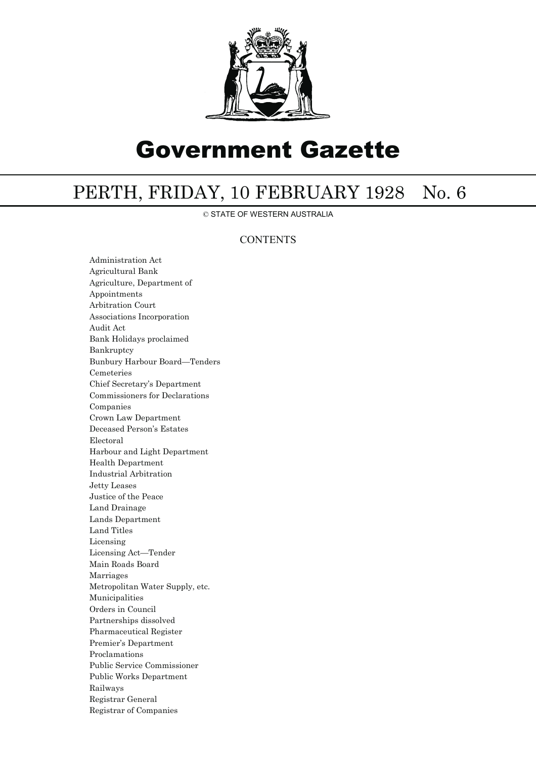

# Government Gazette

# PERTH, FRIDAY, 10 FEBRUARY 1928 No. 6

© STATE OF WESTERN AUSTRALIA

## **CONTENTS**

Administration Act Agricultural Bank Agriculture, Department of Appointments Arbitration Court Associations Incorporation Audit Act Bank Holidays proclaimed Bankruptcy Bunbury Harbour Board—Tenders Cemeteries Chief Secretary's Department Commissioners for Declarations Companies Crown Law Department Deceased Person's Estates Electoral Harbour and Light Department Health Department Industrial Arbitration Jetty Leases Justice of the Peace Land Drainage Lands Department Land Titles Licensing Licensing Act—Tender Main Roads Board Marriages Metropolitan Water Supply, etc. Municipalities Orders in Council Partnerships dissolved Pharmaceutical Register Premier's Department Proclamations Public Service Commissioner Public Works Department Railways Registrar General Registrar of Companies